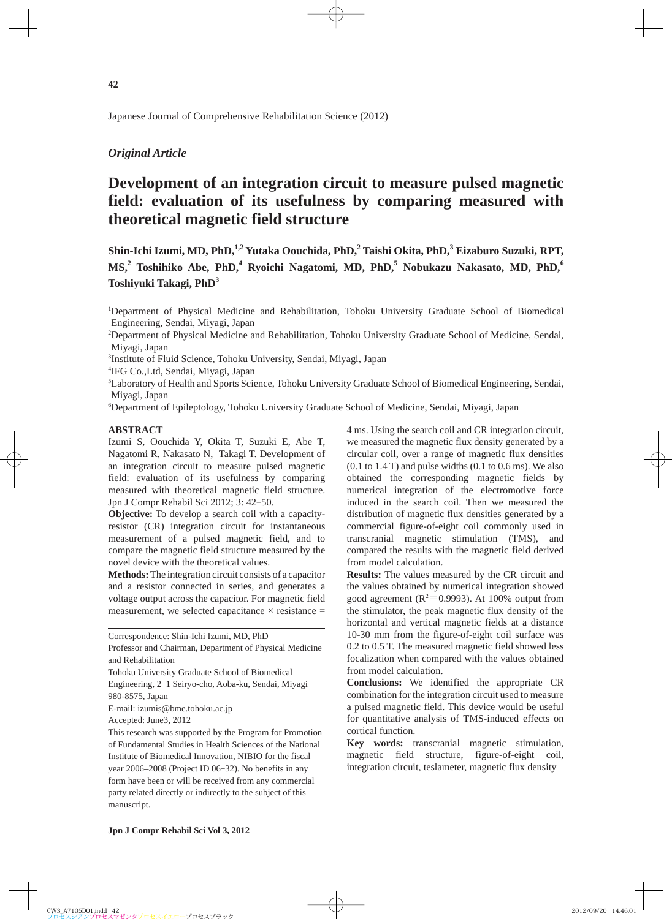Japanese Journal of Comprehensive Rehabilitation Science (2012)

## *Original Article*

# **Development of an integration circuit to measure pulsed magnetic field: evaluation of its usefulness by comparing measured with theoretical magnetic field structure**

**Shin-Ichi Izumi, MD, PhD,1,2 Yutaka Oouchida, PhD,2 Taishi Okita, PhD,<sup>3</sup> Eizaburo Suzuki, RPT, MS,2 Toshihiko Abe, PhD,<sup>4</sup> Ryoichi Nagatomi, MD, PhD,5 Nobukazu Nakasato, MD, PhD,<sup>6</sup> Toshiyuki Takagi, PhD<sup>3</sup>**

1 Department of Physical Medicine and Rehabilitation, Tohoku University Graduate School of Biomedical Engineering, Sendai, Miyagi, Japan

2 Department of Physical Medicine and Rehabilitation, Tohoku University Graduate School of Medicine, Sendai, Miyagi, Japan

3 Institute of Fluid Science, Tohoku University, Sendai, Miyagi, Japan

4 IFG Co.,Ltd, Sendai, Miyagi, Japan

5 Laboratory of Health and Sports Science, Tohoku University Graduate School of Biomedical Engineering, Sendai, Miyagi, Japan

6 Department of Epileptology, Tohoku University Graduate School of Medicine, Sendai, Miyagi, Japan

#### **ABSTRACT**

Izumi S, Oouchida Y, Okita T, Suzuki E, Abe T, Nagatomi R, Nakasato N, Takagi T. Development of an integration circuit to measure pulsed magnetic field: evaluation of its usefulness by comparing measured with theoretical magnetic field structure. Jpn J Compr Rehabil Sci 2012; 3: 42-50.

**Objective:** To develop a search coil with a capacityresistor (CR) integration circuit for instantaneous measurement of a pulsed magnetic field, and to compare the magnetic field structure measured by the novel device with the theoretical values.

**Methods:** The integration circuit consists of a capacitor and a resistor connected in series, and generates a voltage output across the capacitor. For magnetic field measurement, we selected capacitance  $\times$  resistance  $=$ 

Correspondence: Shin-Ichi Izumi, MD, PhD

Professor and Chairman, Department of Physical Medicine and Rehabilitation

Tohoku University Graduate School of Biomedical

Engineering, 2-1 Seiryo-cho, Aoba-ku, Sendai, Miyagi 980-8575, Japan

E-mail: izumis@bme.tohoku.ac.jp

Accepted: June3, 2012

This research was supported by the Program for Promotion of Fundamental Studies in Health Sciences of the National Institute of Biomedical Innovation, NIBIO for the fiscal year 2006–2008 (Project ID 06-32). No benefits in any form have been or will be received from any commercial party related directly or indirectly to the subject of this manuscript.

4 ms. Using the search coil and CR integration circuit, we measured the magnetic flux density generated by a circular coil, over a range of magnetic flux densities  $(0.1$  to  $1.4$  T) and pulse widths  $(0.1$  to  $0.6$  ms). We also obtained the corresponding magnetic fields by numerical integration of the electromotive force induced in the search coil. Then we measured the distribution of magnetic flux densities generated by a commercial figure-of-eight coil commonly used in transcranial magnetic stimulation (TMS), and compared the results with the magnetic field derived from model calculation.

**Results:** The values measured by the CR circuit and the values obtained by numerical integration showed good agreement ( $R^2$ =0.9993). At 100% output from the stimulator, the peak magnetic flux density of the horizontal and vertical magnetic fields at a distance 10-30 mm from the figure-of-eight coil surface was 0.2 to 0.5 T. The measured magnetic field showed less focalization when compared with the values obtained from model calculation.

**Conclusions:** We identified the appropriate CR combination for the integration circuit used to measure a pulsed magnetic field. This device would be useful for quantitative analysis of TMS-induced effects on cortical function.

**Key words:** transcranial magnetic stimulation, magnetic field structure, figure-of-eight coil, integration circuit, teslameter, magnetic flux density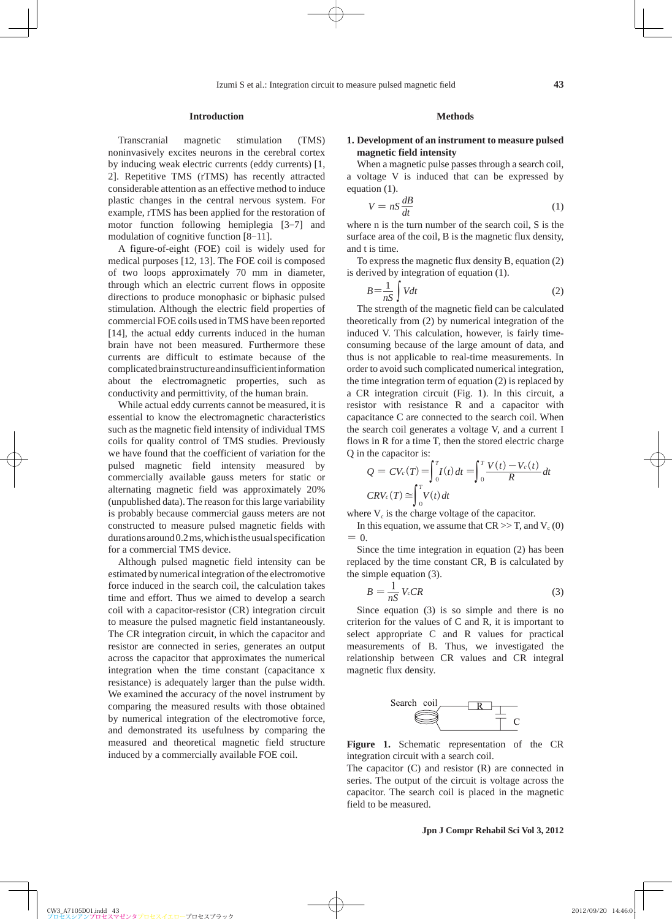#### **Introduction**

Transcranial magnetic stimulation (TMS) noninvasively excites neurons in the cerebral cortex by inducing weak electric currents (eddy currents) [1, 2]. Repetitive TMS (rTMS) has recently attracted considerable attention as an effective method to induce plastic changes in the central nervous system. For example, rTMS has been applied for the restoration of motor function following hemiplegia [3-7] and modulation of cognitive function [8-11].

A figure-of-eight (FOE) coil is widely used for medical purposes [12, 13]. The FOE coil is composed of two loops approximately 70 mm in diameter, through which an electric current flows in opposite directions to produce monophasic or biphasic pulsed stimulation. Although the electric field properties of commercial FOE coils used in TMS have been reported [14], the actual eddy currents induced in the human brain have not been measured. Furthermore these currents are difficult to estimate because of the complicated brain structure and insufficient information about the electromagnetic properties, such as conductivity and permittivity, of the human brain.

While actual eddy currents cannot be measured, it is essential to know the electromagnetic characteristics such as the magnetic field intensity of individual TMS coils for quality control of TMS studies. Previously we have found that the coefficient of variation for the pulsed magnetic field intensity measured by commercially available gauss meters for static or alternating magnetic field was approximately 20% (unpublished data). The reason for this large variability is probably because commercial gauss meters are not constructed to measure pulsed magnetic fields with durations around 0.2 ms, which is the usual specification for a commercial TMS device.

Although pulsed magnetic field intensity can be estimated by numerical integration of the electromotive force induced in the search coil, the calculation takes time and effort. Thus we aimed to develop a search coil with a capacitor-resistor (CR) integration circuit to measure the pulsed magnetic field instantaneously. The CR integration circuit, in which the capacitor and resistor are connected in series, generates an output across the capacitor that approximates the numerical integration when the time constant (capacitance x resistance) is adequately larger than the pulse width. We examined the accuracy of the novel instrument by comparing the measured results with those obtained by numerical integration of the electromotive force, and demonstrated its usefulness by comparing the measured and theoretical magnetic field structure induced by a commercially available FOE coil.

#### **Methods**

## **1. Development of an instrument to measure pulsed magnetic field intensity**

When a magnetic pulse passes through a search coil, a voltage V is induced that can be expressed by equation (1).

$$
V = nS \frac{dB}{dt} \tag{1}
$$

where n is the turn number of the search coil, S is the surface area of the coil, B is the magnetic flux density, and t is time.

To express the magnetic flux density B, equation (2) is derived by integration of equation (1).

$$
B = \frac{1}{nS} \int Vdt
$$
 (2)

The strength of the magnetic field can be calculated theoretically from (2) by numerical integration of the induced V. This calculation, however, is fairly timeconsuming because of the large amount of data, and thus is not applicable to real-time measurements. In order to avoid such complicated numerical integration, the time integration term of equation (2) is replaced by a CR integration circuit (Fig. 1). In this circuit, a resistor with resistance R and a capacitor with capacitance C are connected to the search coil. When the search coil generates a voltage V, and a current I flows in R for a time T, then the stored electric charge Q in the capacitor is:

$$
Q = CV_c(T) = \int_0^T I(t) dt = \int_0^T \frac{V(t) - V_c(t)}{R} dt
$$
  

$$
CRV_c(T) \approx \int_0^T V(t) dt
$$

where  $V_c$  is the charge voltage of the capacitor.

In this equation, we assume that  $CR \gg T$ , and  $V_c(0)$  $= 0.$ 

Since the time integration in equation (2) has been replaced by the time constant CR, B is calculated by the simple equation (3).

$$
B = \frac{1}{nS} V_cCR \tag{3}
$$

Since equation (3) is so simple and there is no criterion for the values of C and R, it is important to select appropriate C and R values for practical measurements of B. Thus, we investigated the relationship between CR values and CR integral magnetic flux density.



**Figure 1.** Schematic representation of the CR integration circuit with a search coil.

The capacitor (C) and resistor (R) are connected in series. The output of the circuit is voltage across the capacitor. The search coil is placed in the magnetic field to be measured.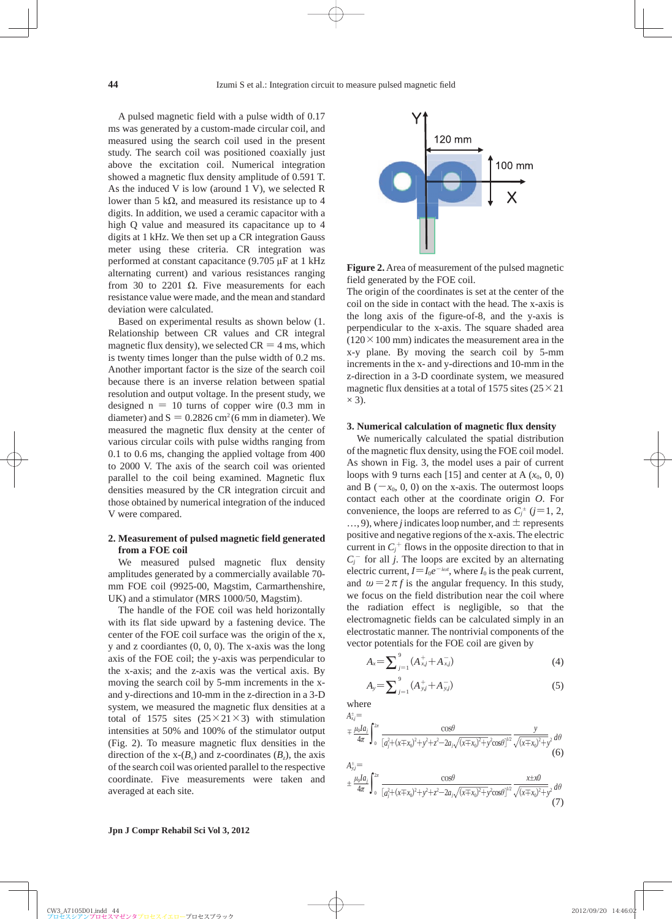A pulsed magnetic field with a pulse width of 0.17 ms was generated by a custom-made circular coil, and measured using the search coil used in the present study. The search coil was positioned coaxially just above the excitation coil. Numerical integration showed a magnetic flux density amplitude of 0.591 T. As the induced V is low (around 1 V), we selected R lower than 5 kΩ, and measured its resistance up to 4 digits. In addition, we used a ceramic capacitor with a high Q value and measured its capacitance up to 4 digits at 1 kHz. We then set up a CR integration Gauss meter using these criteria. CR integration was performed at constant capacitance (9.705 μF at 1 kHz alternating current) and various resistances ranging from 30 to 2201  $\Omega$ . Five measurements for each resistance value were made, and the mean and standard deviation were calculated.

Based on experimental results as shown below (1. Relationship between CR values and CR integral magnetic flux density), we selected  $CR = 4$  ms, which is twenty times longer than the pulse width of 0.2 ms. Another important factor is the size of the search coil because there is an inverse relation between spatial resolution and output voltage. In the present study, we designed  $n = 10$  turns of copper wire  $(0.3 \text{ mm in})$ diameter) and  $S = 0.2826$  cm<sup>2</sup> (6 mm in diameter). We measured the magnetic flux density at the center of various circular coils with pulse widths ranging from 0.1 to 0.6 ms, changing the applied voltage from 400 to 2000 V. The axis of the search coil was oriented parallel to the coil being examined. Magnetic flux densities measured by the CR integration circuit and those obtained by numerical integration of the induced V were compared.

## **2. Measurement of pulsed magnetic field generated from a FOE coil**

We measured pulsed magnetic flux density amplitudes generated by a commercially available 70 mm FOE coil (9925-00, Magstim, Carmarthenshire, UK) and a stimulator (MRS 1000/50, Magstim).

The handle of the FOE coil was held horizontally with its flat side upward by a fastening device. The center of the FOE coil surface was the origin of the x, y and z coordiantes (0, 0, 0). The x-axis was the long axis of the FOE coil; the y-axis was perpendicular to the x-axis; and the z-axis was the vertical axis. By moving the search coil by 5-mm increments in the xand y-directions and 10-mm in the z-direction in a 3-D system, we measured the magnetic flux densities at a total of 1575 sites  $(25 \times 21 \times 3)$  with stimulation intensities at 50% and 100% of the stimulator output (Fig. 2). To measure magnetic flux densities in the direction of the  $x-(B_x)$  and z-coordinates  $(B_z)$ , the axis of the search coil was oriented parallel to the respective coordinate. Five measurements were taken and averaged at each site.



**Figure 2.** Area of measurement of the pulsed magnetic field generated by the FOE coil.

The origin of the coordinates is set at the center of the coil on the side in contact with the head. The x-axis is the long axis of the figure-of-8, and the y-axis is perpendicular to the x-axis. The square shaded area  $(120 \times 100 \text{ mm})$  indicates the measurement area in the x-y plane. By moving the search coil by 5-mm increments in the x- and y-directions and 10-mm in the z-direction in a 3-D coordinate system, we measured magnetic flux densities at a total of 1575 sites  $(25 \times 21)$  $\times$  3).

## **3. Numerical calculation of magnetic flux density**

We numerically calculated the spatial distribution of the magnetic flux density, using the FOE coil model. As shown in Fig. 3, the model uses a pair of current loops with 9 turns each [15] and center at A  $(x_0, 0, 0)$ and B ( $-x_0$ , 0, 0) on the x-axis. The outermost loops contact each other at the coordinate origin *O*. For convenience, the loops are referred to as  $C_j^{\pm}$  ( $j=1, 2,$  $..., 9$ ), where *j* indicates loop number, and  $\pm$  represents positive and negative regions of the x-axis. The electric current in  $C_j^+$  flows in the opposite direction to that in  $C_j$ <sup>-</sup> for all *j*. The loops are excited by an alternating electric current,  $I = I_0 e^{-i\omega t}$ , where  $I_0$  is the peak current, and  $\omega = 2 \pi f$  is the angular frequency. In this study, we focus on the field distribution near the coil where the radiation effect is negligible, so that the electromagnetic fields can be calculated simply in an electrostatic manner. The nontrivial components of the vector potentials for the FOE coil are given by

$$
A_{x} = \sum_{j=1}^{9} (A_{x,j}^{+} + A_{x,j}^{-})
$$
\n(4)

$$
A_{y} = \sum_{j=1}^{9} (A_{y,j}^{+} + A_{y,j}^{-})
$$
\n(5)

where  $A_{x,j}^{\pm}$ =

$$
\mp \frac{\mu_0 I a_j}{4\pi} \int_0^{2\pi} \frac{\cos\theta}{\left[a_j^2 + (x \mp x_0)^2 + y^2 + z^2 - 2a_j \sqrt{(x \mp x_0)^2 + y^2}\cos\theta\right]^{1/2}} \frac{y}{\sqrt{(x \mp x_0)^2 + y^2}} d\theta \tag{6}
$$

$$
A_{\bar{x},j}^{\pm} = \frac{\mu_0 I a_j}{4\pi} \int_0^{2\pi} \frac{\cos\theta}{[a_j^2 + (x \mp x_0)^2 + y^2 + z^2 - 2a_j\sqrt{(x \mp x_0)^2 + y^2}\cos\theta]^{1/2}} \frac{x \pm x0}{\sqrt{(x \mp x_0)^2 + y^2}} d\theta \tag{7}
$$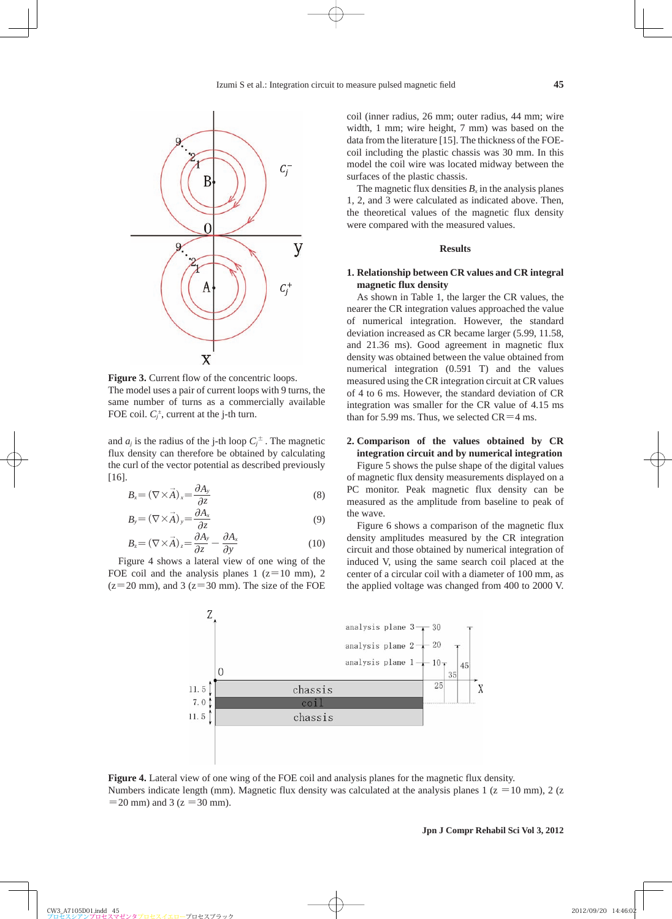

**Figure 3.** Current flow of the concentric loops. The model uses a pair of current loops with 9 turns, the same number of turns as a commercially available FOE coil.  $C_j^{\pm}$ , current at the j-th turn.

and  $a_j$  is the radius of the j-th loop  $C_j^{\pm}$ . The magnetic flux density can therefore be obtained by calculating the curl of the vector potential as described previously [16].

$$
B_x = (\nabla \times \vec{A})_x = \frac{\partial A_y}{\partial z}
$$
 (8)

$$
B_{y} = (\nabla \times \vec{A})_{y} = \frac{\partial A_{x}}{\partial z}
$$
(9)

$$
B_z = (\nabla \times \vec{A})_z = \frac{\partial A_y}{\partial z} - \frac{\partial A_x}{\partial y}
$$
(10)

Figure 4 shows a lateral view of one wing of the FOE coil and the analysis planes 1 ( $z=10$  mm), 2  $(z=20 \text{ mm})$ , and 3 ( $z=30 \text{ mm}$ ). The size of the FOE coil (inner radius, 26 mm; outer radius, 44 mm; wire width, 1 mm; wire height, 7 mm) was based on the data from the literature [15]. The thickness of the FOEcoil including the plastic chassis was 30 mm. In this model the coil wire was located midway between the surfaces of the plastic chassis.

The magnetic flux densities  $B<sub>x</sub>$  in the analysis planes 1, 2, and 3 were calculated as indicated above. Then, the theoretical values of the magnetic flux density were compared with the measured values.

#### **Results**

## **1. Relationship between CR values and CR integral magnetic flux density**

As shown in Table 1, the larger the CR values, the nearer the CR integration values approached the value of numerical integration. However, the standard deviation increased as CR became larger (5.99, 11.58, and 21.36 ms). Good agreement in magnetic flux density was obtained between the value obtained from numerical integration (0.591 T) and the values measured using the CR integration circuit at CR values of 4 to 6 ms. However, the standard deviation of CR integration was smaller for the CR value of 4.15 ms than for 5.99 ms. Thus, we selected  $CR=4$  ms.

## **2. Comparison of the values obtained by CR integration circuit and by numerical integration**

Figure 5 shows the pulse shape of the digital values of magnetic flux density measurements displayed on a PC monitor. Peak magnetic flux density can be measured as the amplitude from baseline to peak of the wave.

Figure 6 shows a comparison of the magnetic flux density amplitudes measured by the CR integration circuit and those obtained by numerical integration of induced V, using the same search coil placed at the center of a circular coil with a diameter of 100 mm, as the applied voltage was changed from 400 to 2000 V.



**Figure 4.** Lateral view of one wing of the FOE coil and analysis planes for the magnetic flux density. Numbers indicate length (mm). Magnetic flux density was calculated at the analysis planes 1 ( $z = 10$  mm), 2 ( $z = 10$  mm)  $=$  20 mm) and 3 ( $z = 30$  mm).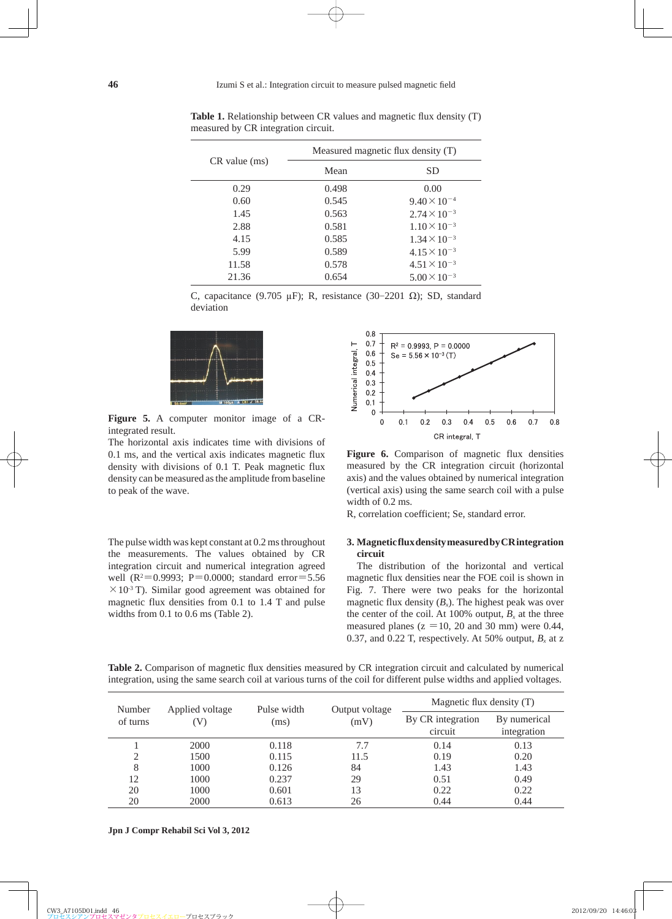| CR value (ms) | Measured magnetic flux density (T) |                       |  |  |
|---------------|------------------------------------|-----------------------|--|--|
|               | Mean                               | <b>SD</b>             |  |  |
| 0.29          | 0.498                              | 0.00                  |  |  |
| 0.60          | 0.545                              | $9.40 \times 10^{-4}$ |  |  |
| 1.45          | 0.563                              | $2.74 \times 10^{-3}$ |  |  |
| 2.88          | 0.581                              | $1.10 \times 10^{-3}$ |  |  |
| 4.15          | 0.585                              | $1.34 \times 10^{-3}$ |  |  |
| 5.99          | 0.589                              | $4.15 \times 10^{-3}$ |  |  |
| 11.58         | 0.578                              | $4.51 \times 10^{-3}$ |  |  |
| 21.36         | 0.654                              | $5.00 \times 10^{-3}$ |  |  |
|               |                                    |                       |  |  |

Table 1. Relationship between CR values and magnetic flux density (T) measured by CR integration circuit.

C, capacitance (9.705 μF); R, resistance (30-2201 Ω); SD, standard deviation



**Figure 5.** A computer monitor image of a CRintegrated result.

The horizontal axis indicates time with divisions of 0.1 ms, and the vertical axis indicates magnetic flux density with divisions of 0.1 T. Peak magnetic flux density can be measured as the amplitude from baseline to peak of the wave.

The pulse width was kept constant at 0.2 ms throughout the measurements. The values obtained by CR integration circuit and numerical integration agreed well ( $R^2 = 0.9993$ ;  $P = 0.0000$ ; standard error = 5.56  $\times$ 10<sup>-3</sup> T). Similar good agreement was obtained for magnetic flux densities from 0.1 to 1.4 T and pulse widths from 0.1 to 0.6 ms (Table 2).



**Figure 6.** Comparison of magnetic flux densities measured by the CR integration circuit (horizontal axis) and the values obtained by numerical integration (vertical axis) using the same search coil with a pulse width of 0.2 ms.

R, correlation coefficient; Se, standard error.

## **3. Magnetic flux density measured by CR integration circuit**

The distribution of the horizontal and vertical magnetic flux densities near the FOE coil is shown in Fig. 7. There were two peaks for the horizontal magnetic flux density  $(B_x)$ . The highest peak was over the center of the coil. At 100% output,  $B<sub>x</sub>$  at the three measured planes ( $z = 10$ , 20 and 30 mm) were 0.44, 0.37, and 0.22 T, respectively. At 50% output,  $B_x$  at z

| Number<br>of turns | Applied voltage<br>(V | Pulse width<br>(ms) | Output voltage<br>(mV) | Magnetic flux density (T)    |                             |
|--------------------|-----------------------|---------------------|------------------------|------------------------------|-----------------------------|
|                    |                       |                     |                        | By CR integration<br>circuit | By numerical<br>integration |
|                    | 2000                  | 0.118               | 7.7                    | 0.14                         | 0.13                        |
| 2                  | 1500                  | 0.115               | 11.5                   | 0.19                         | 0.20                        |
| 8                  | 1000                  | 0.126               | 84                     | 1.43                         | 1.43                        |
| 12                 | 1000                  | 0.237               | 29                     | 0.51                         | 0.49                        |
| 20                 | 1000                  | 0.601               | 13                     | 0.22                         | 0.22                        |
| 20                 | 2000                  | 0.613               | 26                     | 0.44                         | 0.44                        |

Table 2. Comparison of magnetic flux densities measured by CR integration circuit and calculated by numerical integration, using the same search coil at various turns of the coil for different pulse widths and applied voltages.

**Jpn J Compr Rehabil Sci Vol 3, 2012**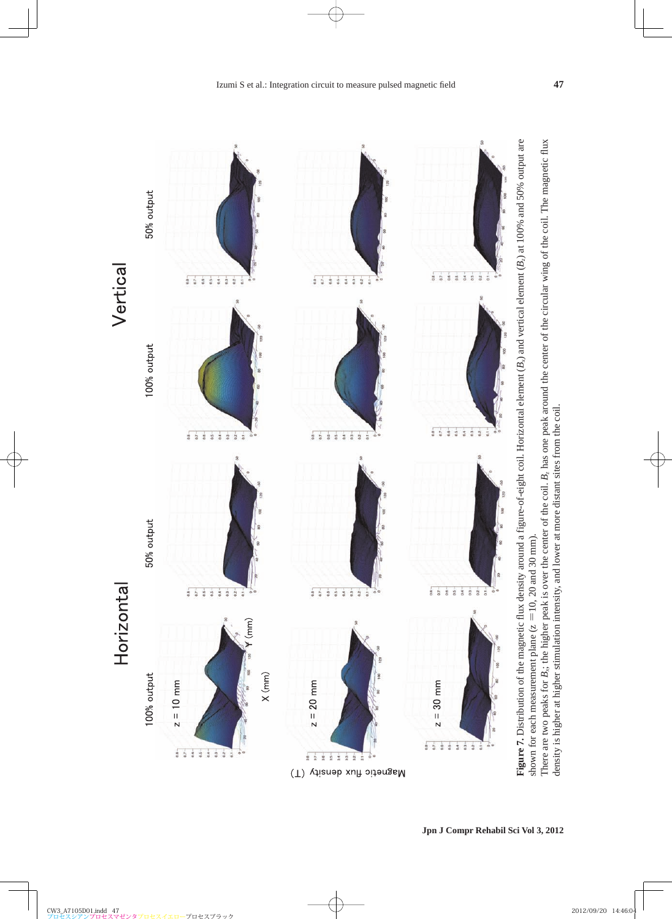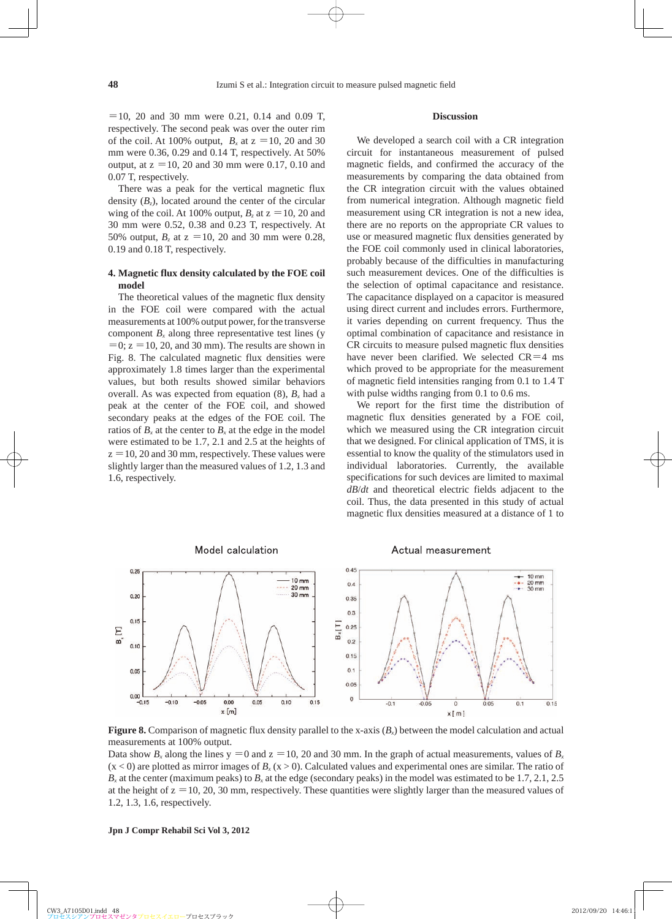$=$  10, 20 and 30 mm were 0.21, 0.14 and 0.09 T, respectively. The second peak was over the outer rim of the coil. At 100% output,  $B_x$  at  $z = 10$ , 20 and 30 mm were 0.36, 0.29 and 0.14 T, respectively. At 50% output, at  $z = 10$ , 20 and 30 mm were 0.17, 0.10 and 0.07 T, respectively.

There was a peak for the vertical magnetic flux density  $(B_2)$ , located around the center of the circular wing of the coil. At 100% output,  $B_z$  at  $z = 10$ , 20 and 30 mm were 0.52, 0.38 and 0.23 T, respectively. At 50% output,  $B_7$  at  $z = 10$ , 20 and 30 mm were 0.28, 0.19 and 0.18 T, respectively.

## **4. Magnetic flux density calculated by the FOE coil model**

The theoretical values of the magnetic flux density in the FOE coil were compared with the actual measurements at 100% output power, for the transverse component  $B<sub>x</sub>$  along three representative test lines (y  $=0$ ;  $z = 10$ , 20, and 30 mm). The results are shown in Fig. 8. The calculated magnetic flux densities were approximately 1.8 times larger than the experimental values, but both results showed similar behaviors overall. As was expected from equation  $(8)$ ,  $B_x$  had a peak at the center of the FOE coil, and showed secondary peaks at the edges of the FOE coil. The ratios of  $B_x$  at the center to  $B_x$  at the edge in the model were estimated to be 1.7, 2.1 and 2.5 at the heights of  $z = 10$ , 20 and 30 mm, respectively. These values were slightly larger than the measured values of 1.2, 1.3 and 1.6, respectively.

#### **Discussion**

We developed a search coil with a CR integration circuit for instantaneous measurement of pulsed magnetic fields, and confirmed the accuracy of the measurements by comparing the data obtained from the CR integration circuit with the values obtained from numerical integration. Although magnetic field measurement using CR integration is not a new idea, there are no reports on the appropriate CR values to use or measured magnetic flux densities generated by the FOE coil commonly used in clinical laboratories, probably because of the difficulties in manufacturing such measurement devices. One of the difficulties is the selection of optimal capacitance and resistance. The capacitance displayed on a capacitor is measured using direct current and includes errors. Furthermore, it varies depending on current frequency. Thus the optimal combination of capacitance and resistance in CR circuits to measure pulsed magnetic flux densities have never been clarified. We selected  $CR=4$  ms which proved to be appropriate for the measurement of magnetic field intensities ranging from 0.1 to 1.4 T with pulse widths ranging from 0.1 to 0.6 ms.

We report for the first time the distribution of magnetic flux densities generated by a FOE coil, which we measured using the CR integration circuit that we designed. For clinical application of TMS, it is essential to know the quality of the stimulators used in individual laboratories. Currently, the available specifications for such devices are limited to maximal *dB*/*dt* and theoretical electric fields adjacent to the coil. Thus, the data presented in this study of actual magnetic flux densities measured at a distance of 1 to



**Figure 8.** Comparison of magnetic flux density parallel to the x-axis  $(B<sub>x</sub>)$  between the model calculation and actual measurements at 100% output.

Data show  $B_x$  along the lines  $y = 0$  and  $z = 10$ , 20 and 30 mm. In the graph of actual measurements, values of  $B_x$  $(x < 0)$  are plotted as mirror images of  $B_x(x > 0)$ . Calculated values and experimental ones are similar. The ratio of  $B<sub>x</sub>$  at the center (maximum peaks) to  $B<sub>x</sub>$  at the edge (secondary peaks) in the model was estimated to be 1.7, 2.1, 2.5 at the height of  $z = 10$ , 20, 30 mm, respectively. These quantities were slightly larger than the measured values of 1.2, 1.3, 1.6, respectively.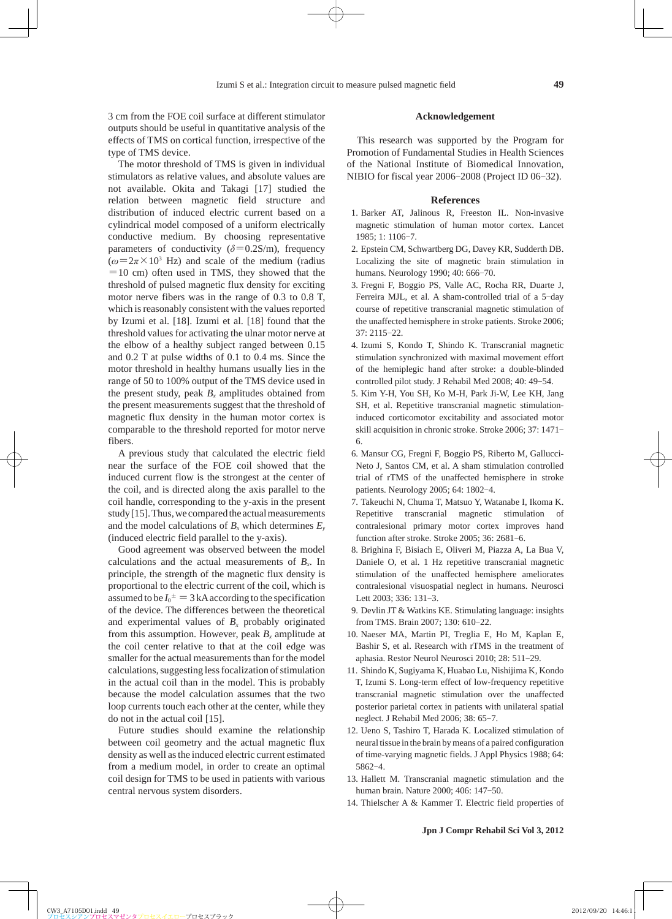3 cm from the FOE coil surface at different stimulator outputs should be useful in quantitative analysis of the effects of TMS on cortical function, irrespective of the

type of TMS device. The motor threshold of TMS is given in individual stimulators as relative values, and absolute values are not available. Okita and Takagi [17] studied the relation between magnetic field structure and distribution of induced electric current based on a cylindrical model composed of a uniform electrically conductive medium. By choosing representative parameters of conductivity  $(\delta = 0.2S/m)$ , frequency  $(\omega = 2\pi \times 10^3 \text{ Hz})$  and scale of the medium (radius  $=10$  cm) often used in TMS, they showed that the threshold of pulsed magnetic flux density for exciting motor nerve fibers was in the range of 0.3 to 0.8 T, which is reasonably consistent with the values reported by Izumi et al. [18]. Izumi et al. [18] found that the threshold values for activating the ulnar motor nerve at the elbow of a healthy subject ranged between 0.15 and 0.2 T at pulse widths of 0.1 to 0.4 ms. Since the motor threshold in healthy humans usually lies in the range of 50 to 100% output of the TMS device used in the present study, peak  $B_x$  amplitudes obtained from the present measurements suggest that the threshold of magnetic flux density in the human motor cortex is comparable to the threshold reported for motor nerve fibers.

A previous study that calculated the electric field near the surface of the FOE coil showed that the induced current flow is the strongest at the center of the coil, and is directed along the axis parallel to the coil handle, corresponding to the y-axis in the present study [15]. Thus, we compared the actual measurements and the model calculations of  $B_x$  which determines  $E_y$ (induced electric field parallel to the y-axis).

Good agreement was observed between the model calculations and the actual measurements of  $B<sub>x</sub>$ . In principle, the strength of the magnetic flux density is proportional to the electric current of the coil, which is assumed to be  $I_0^{\pm} = 3$  kA according to the specification of the device. The differences between the theoretical and experimental values of  $B<sub>x</sub>$  probably originated from this assumption. However, peak  $B<sub>x</sub>$  amplitude at the coil center relative to that at the coil edge was smaller for the actual measurements than for the model calculations, suggesting less focalization of stimulation in the actual coil than in the model. This is probably because the model calculation assumes that the two loop currents touch each other at the center, while they do not in the actual coil [15].

Future studies should examine the relationship between coil geometry and the actual magnetic flux density as well as the induced electric current estimated from a medium model, in order to create an optimal coil design for TMS to be used in patients with various central nervous system disorders.

#### **Acknowledgement**

This research was supported by the Program for Promotion of Fundamental Studies in Health Sciences of the National Institute of Biomedical Innovation, NIBIO for fiscal year 2006-2008 (Project ID 06-32).

#### **References**

- 1 . Barker AT, Jalinous R, Freeston IL. Non-invasive magnetic stimulation of human motor cortex. Lancet 1985; 1: 1106-7.
- 2 . Epstein CM, Schwartberg DG, Davey KR, Sudderth DB. Localizing the site of magnetic brain stimulation in humans. Neurology 1990; 40: 666-70.
- 3 . Fregni F, Boggio PS, Valle AC, Rocha RR, Duarte J, Ferreira MJL, et al. A sham-controlled trial of a 5-day course of repetitive transcranial magnetic stimulation of the unaffected hemisphere in stroke patients. Stroke 2006; 37: 2115-22.
- 4 . Izumi S, Kondo T, Shindo K. Transcranial magnetic stimulation synchronized with maximal movement effort of the hemiplegic hand after stroke: a double-blinded controlled pilot study. J Rehabil Med 2008; 40: 49-54.
- 5 . Kim Y-H, You SH, Ko M-H, Park Ji-W, Lee KH, Jang SH, et al. Repetitive transcranial magnetic stimulationinduced corticomotor excitability and associated motor skill acquisition in chronic stroke. Stroke 2006; 37: 1471- 6.
- 6 . Mansur CG, Fregni F, Boggio PS, Riberto M, Gallucci-Neto J, Santos CM, et al. A sham stimulation controlled trial of rTMS of the unaffected hemisphere in stroke patients. Neurology 2005; 64: 1802-4.
- 7 . Takeuchi N, Chuma T, Matsuo Y, Watanabe I, Ikoma K. Repetitive transcranial magnetic stimulation of contralesional primary motor cortex improves hand function after stroke. Stroke 2005; 36: 2681-6.
- 8 . Brighina F, Bisiach E, Oliveri M, Piazza A, La Bua V, Daniele O, et al. 1 Hz repetitive transcranial magnetic stimulation of the unaffected hemisphere ameliorates contralesional visuospatial neglect in humans. Neurosci Lett 2003; 336: 131-3.
- 9 . Devlin JT & Watkins KE. Stimulating language: insights from TMS. Brain 2007; 130: 610-22.
- 10 . Naeser MA, Martin PI, Treglia E, Ho M, Kaplan E, Bashir S, et al. Research with rTMS in the treatment of aphasia. Restor Neurol Neurosci 2010; 28: 511-29.
- 11 . Shindo K, Sugiyama K, Huabao Lu, Nishijima K, Kondo T, Izumi S. Long-term effect of low-frequency repetitive transcranial magnetic stimulation over the unaffected posterior parietal cortex in patients with unilateral spatial neglect. J Rehabil Med 2006; 38: 65-7.
- 12 . Ueno S, Tashiro T, Harada K. Localized stimulation of neural tissue in the brain by means of a paired configuration of time-varying magnetic fields. J Appl Physics 1988; 64: 5862-4.
- 13 . Hallett M. Transcranial magnetic stimulation and the human brain. Nature 2000; 406: 147-50.
- 14 . Thielscher A & Kammer T. Electric field properties of